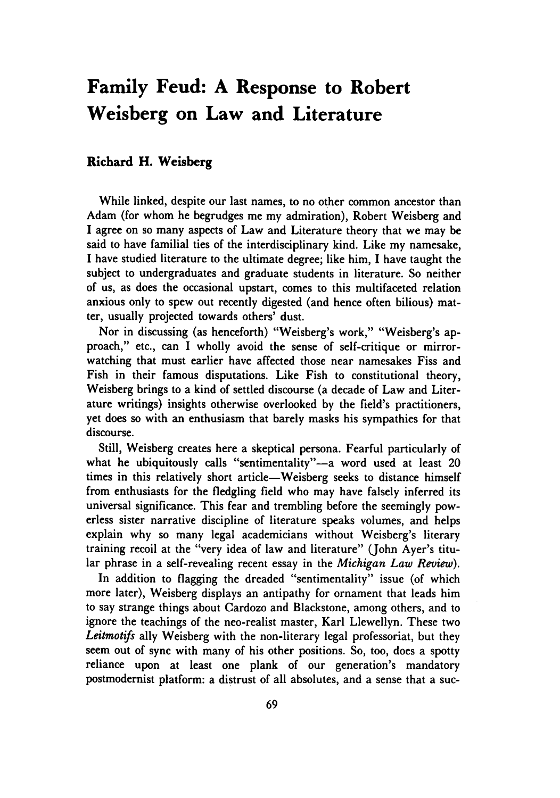## **Family Feud: A Response to Robert Weisberg on Law and Literature**

## **Richard H. Weisberg**

While linked, despite our last names, to no other common ancestor than Adam (for whom he begrudges me my admiration), Robert Weisberg and I agree on so many aspects of Law and Literature theory that we may be said to have familial ties of the interdisciplinary kind. Like my namesake, **I** have studied literature to the ultimate degree; like him, I have taught the subject to undergraduates and graduate students in literature. So neither of us, as does the occasional upstart, comes to this multifaceted relation anxious only to spew out recently digested (and hence often bilious) matter, usually projected towards others' dust.

Nor in discussing (as henceforth) "Weisberg's work," "Weisberg's approach," etc., can I wholly avoid the sense of self-critique or mirrorwatching that must earlier have affected those near namesakes Fiss and Fish in their famous disputations. Like Fish to constitutional theory, Weisberg brings to a kind of settled discourse (a decade of Law and Literature writings) insights otherwise overlooked **by** the field's practitioners, yet does so with an enthusiasm that barely masks his sympathies for that discourse.

Still, Weisberg creates here a skeptical persona. Fearful particularly of what he ubiquitously calls "sentimentality"-a word used at least 20 times in this relatively short article—Weisberg seeks to distance himself from enthusiasts for the fledgling field who may have falsely inferred its universal significance. This fear and trembling before the seemingly powerless sister narrative discipline of literature speaks volumes, and helps explain why so many legal academicians without Weisberg's literary training recoil at the "very idea of law and literature" (John Ayer's titular phrase in a self-revealing recent essay in the *Michigan Law Review).*

In addition to flagging the dreaded "sentimentality" issue (of which more later), Weisberg displays an antipathy for ornament that leads him to say strange things about Cardozo and Blackstone, among others, and to ignore the teachings of the neo-realist master, Karl Llewellyn. These two *Leitmotifs* ally Weisberg with the non-literary legal professoriat, but they seem out of sync with many of his other positions. So, too, does a spotty reliance upon at least one plank of our generation's mandatory postmodernist platform: a distrust of all absolutes, and a sense that a suc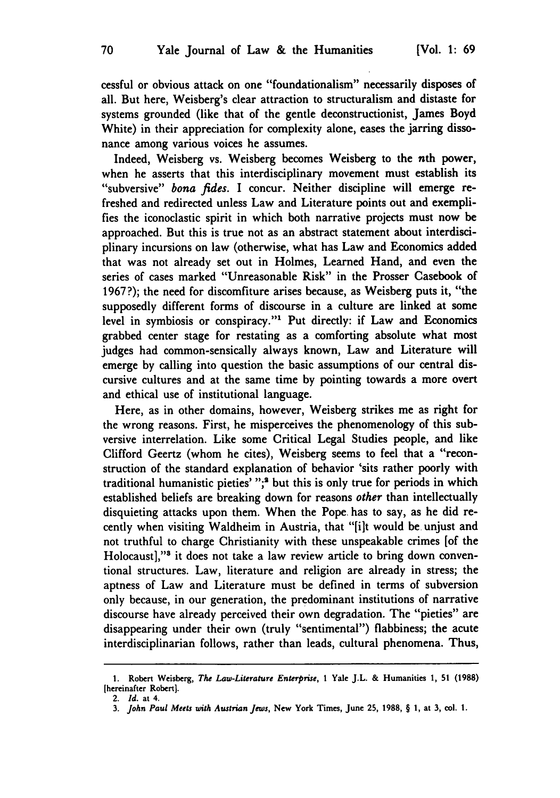cessful or obvious attack on one "foundationalism" necessarily disposes of all. But here, Weisberg's clear attraction to structuralism and distaste for systems grounded (like that of the gentle deconstructionist, James Boyd White) in their appreciation for complexity alone, eases the jarring dissonance among various voices he assumes.

Indeed, Weisberg vs. Weisberg becomes Weisberg to the nth power, when he asserts that this interdisciplinary movement must establish its "subversive" *bona fides.* I concur. Neither discipline will emerge refreshed and redirected unless Law and Literature points out and exemplifies the iconoclastic spirit in which both narrative projects must now be approached. But this is true not as an abstract statement about interdisciplinary incursions on law (otherwise, what has Law and Economics added that was not already set out in Holmes, Learned Hand, and even the series of cases marked "Unreasonable Risk" in the Prosser Casebook of **1967?);** the need for discomfiture arises because, as Weisberg puts it, "the supposedly different forms of discourse in a culture are linked at some level in symbiosis or conspiracy."<sup>1</sup> Put directly: if Law and Economics grabbed center stage for restating as a comforting absolute what most judges had common-sensically always known, Law and Literature will emerge **by** calling into question the basic assumptions of our central discursive cultures and at the same time **by** pointing towards a more overt and ethical use of institutional language.

Here, as in other domains, however, Weisberg strikes me as right for the wrong reasons. First, he misperceives the phenomenology of this subversive interrelation. Like some Critical Legal Studies people, and like Clifford Geertz (whom he cites), Weisberg seems to feel that a "reconstruction of the standard explanation of behavior 'sits rather poorly with traditional humanistic pieties' **";** but this is only true for periods in which established beliefs are breaking down for reasons *other* than intellectually disquieting attacks upon them. When the Pope. has to say, as he did recently when visiting Waldheim in Austria, that "[it would be unjust and not truthful to charge Christianity with these unspeakable crimes [of the Holocaust],"<sup>3</sup> it does not take a law review article to bring down conventional structures. Law, literature and religion are already in stress; the aptness of Law and Literature must be defined in terms of subversion only because, in our generation, the predominant institutions of narrative discourse have already perceived their own degradation. The "pieties" are disappearing under their own (truly "sentimental") flabbiness; the acute interdisciplinarian follows, rather than leads, cultural phenomena. Thus,

**<sup>1.</sup> Robert** Weisberg, *The Law-Literature Enterprise,* **1 Yale J.L. & Humanities 1, 51 (1988)** [hereinafter Robert]. 2. *Id.* **at 4.**

**<sup>3.</sup> John** Paul **Meets with** *Austrian Jews,* New York Times, June **25, 1988,** § **1, at 3, col. 1.**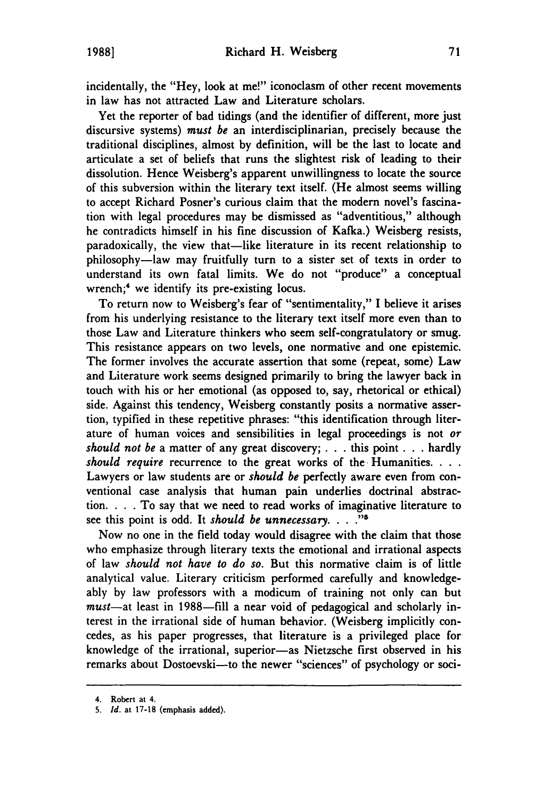incidentally, the "Hey, look at me!" iconoclasm of other recent movements in law has not attracted Law and Literature scholars.

Yet the reporter of bad tidings (and the identifier of different, more just discursive systems) *must be* an interdisciplinarian, precisely because the traditional disciplines, almost **by** definition, will be the last to locate and articulate a set of beliefs that runs the slightest risk of leading to their dissolution. Hence Weisberg's apparent unwillingness to locate the source of this subversion within the literary text itself. (He almost seems willing to accept Richard Posner's curious claim that the modern novel's fascination with legal procedures may be dismissed as "adventitious," although he contradicts himself in his fine discussion of Kafka.) Weisberg resists, paradoxically, the view that-like literature in its recent relationship to philosophy-law may fruitfully turn to a sister set of texts in order to understand its own fatal limits. We do not "produce" a conceptual wrench;<sup>4</sup> we identify its pre-existing locus.

To return now to Weisberg's fear of "sentimentality," **I** believe it arises from his underlying resistance to the literary text itself more even than to those Law and Literature thinkers who seem self-congratulatory or smug. This resistance appears on two levels, one normative and one epistemic. The former involves the accurate assertion that some (repeat, some) Law and Literature work seems designed primarily to bring the lawyer back in touch with his or her emotional (as opposed to, say, rhetorical or ethical) side. Against this tendency, Weisberg constantly posits a normative assertion, typified in these repetitive phrases: "this identification through literature of human voices and sensibilities in legal proceedings is not *or should not be* a matter of any great discovery; **. . .** this point. **. .** hardly *should require* recurrence to the great works of the Humanities. **...** Lawyers or law students are or *should be* perfectly aware even from conventional case analysis that human pain underlies doctrinal abstraction. . **.** .To say that we need to read works of imaginative literature to see this point is odd. It *should be unnecessary.* . . .<sup>55</sup>

Now no one in the field today would disagree with the claim that those who emphasize through literary texts the emotional and irrational aspects of law *should not have to do so.* But this normative claim is of little analytical value. Literary criticism performed carefully and knowledgeably by law professors with a modicum of training not only can but must-at least in 1988-fill a near void of pedagogical and scholarly interest in the irrational side of human behavior. (Weisberg implicitly concedes, as his paper progresses, that literature is a privileged place for knowledge of the irrational, superior-as Nietzsche first observed in his remarks about Dostoevski-to the newer "sciences" of psychology or soci-

<sup>4.</sup> Robert at 4.

**<sup>5.</sup> Id.** at **17-18** (emphasis added).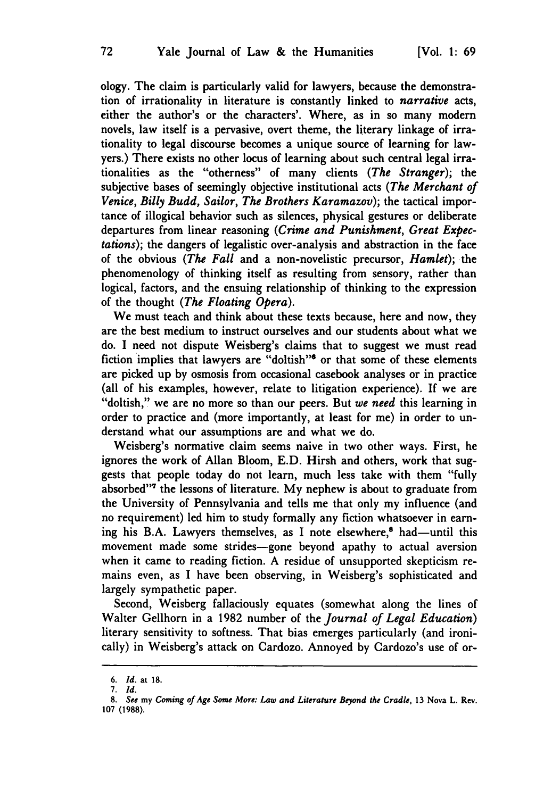ology. The claim is particularly valid for lawyers, because the demonstration of irrationality in literature is constantly linked to *narrative* acts, either the author's or the characters'. Where, as in so many modern novels, law itself is a pervasive, overt theme, the literary linkage of irrationality to legal discourse becomes a unique source of learning for lawyers.) There exists no other locus of learning about such central legal irrationalities as the "otherness" of many clients *(The Stranger);* the subjective bases of seemingly objective institutional acts *(The Merchant of Venice, Billy Budd, Sailor, The Brothers Karamazov);* the tactical importance of illogical behavior such as silences, physical gestures or deliberate departures from linear reasoning *(Crime and Punishment, Great Expectations);* the dangers of legalistic over-analysis and abstraction in the face of the obvious *(The Fall* and a non-novelistic precursor, *Hamlet);* the phenomenology of thinking itself as resulting from sensory, rather than logical, factors, and the ensuing relationship of thinking to the expression of the thought *(The Floating Opera).*

We must teach and think about these texts because, here and now, they are the best medium to instruct ourselves and our students about what we do. I need not dispute Weisberg's claims that to suggest we must read fiction implies that lawyers are "doltish"<sup>6</sup> or that some of these elements are picked up by osmosis from occasional casebook analyses or in practice (all of his examples, however, relate to litigation experience). If we are "doltish," we are no more so than our peers. But *we need* this learning in order to practice and (more importantly, at least for me) in order to understand what our assumptions are and what we do.

Weisberg's normative claim seems naive in two other ways. First, he ignores the work of Allan Bloom, E.D. Hirsh and others, work that suggests that people today do not learn, much less take with them "fully absorbed"7 the lessons of literature. My nephew is about to graduate from the University of Pennsylvania and tells me that only my influence (and no requirement) led him to study formally any fiction whatsoever in earning his B.A. Lawyers themselves, as I note elsewhere,<sup>8</sup> had-until this movement made some strides-gone beyond apathy to actual aversion when it came to reading fiction. A residue of unsupported skepticism remains even, as I have been observing, in Weisberg's sophisticated and largely sympathetic paper.

Second, Weisberg fallaciously equates (somewhat along the lines of Walter Gellhorn in a 1982 number of the *Journal of Legal Education)* literary sensitivity to softness. That bias emerges particularly (and ironically) in Weisberg's attack on Cardozo. Annoyed by Cardozo's use of or-

<sup>6.</sup> *Id.* at 18.

<sup>7.</sup> *Id.*

*<sup>8.</sup> See* my *Coming of Age Some More: Law and Literature Beyond the Cradle,* **13** Nova L. Rev. **107 (1988).**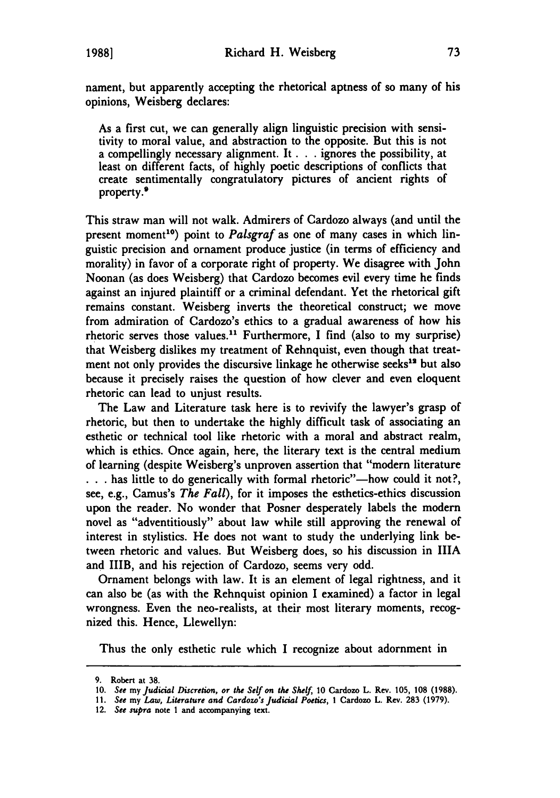nament, but apparently accepting the rhetorical aptness of so many of his opinions, Weisberg declares:

As a first cut, we can generally align linguistic precision with sensitivity to moral value, and abstraction to the opposite. But this is not a compellingly necessary alignment. It **. .** ignores the possibility, at least on different facts, of **highly** poetic descriptions of conflicts that create sentimentally congratulatory pictures of ancient rights of property.<sup>9</sup>

This straw man will not walk. Admirers of Cardozo always (and until the present moment<sup>10</sup>) point to *Palsgraf* as one of many cases in which linguistic precision and ornament produce justice (in terms of efficiency and morality) in favor of a corporate right of property. We disagree with John Noonan (as does Weisberg) that Cardozo becomes evil every time he finds against an injured plaintiff or a criminal defendant. Yet the rhetorical gift remains constant. Weisberg inverts the theoretical construct; we move from admiration of Cardozo's ethics to a gradual awareness of how his rhetoric serves those values.11 Furthermore, I find (also to my surprise) that Weisberg dislikes my treatment of Rehnquist, even though that treatment not only provides the discursive linkage he otherwise seeks<sup>12</sup> but also because it precisely raises the question of how clever and even eloquent rhetoric can lead to unjust results.

The Law and Literature task here is to revivify the lawyer's grasp of rhetoric, but then to undertake the **highly** difficult task of associating an esthetic or technical tool like rhetoric with a moral and abstract realm, which is ethics. Once again, here, the literary text is the central medium of learning (despite Weisberg's unproven assertion that "modern literature **.. .** has little to do generically with formal rhetoric"-how could it not?, see, e.g., Camus's *The Fall),* for it imposes the esthetics-ethics discussion upon the reader. No wonder that Posner desperately labels the modem novel as "adventitiously" about law while still approving the renewal of interest in stylistics. He does not want to study the underlying link between rhetoric and values. But Weisberg does, so his discussion in **IIIA** and IIIB, and his rejection of Cardozo, seems very odd.

Ornament belongs with law. It is an element of legal rightness, and it can also be (as with the Rehnquist opinion I examined) a factor in legal wrongness. Even the neo-realists, at their most literary moments, recognized this. Hence, Llewellyn:

Thus the only esthetic rule which I recognize about adornment in

**<sup>9.</sup>** Robert at **38.**

**<sup>10.</sup>** *See my Judicial Discretion, or the Self on the Shelf,* **10** Cardozo L. Rev. **105, 108 (1988).**

**<sup>11.</sup>** *See* my *Law, Literature and Cardozo's Judicial Poetics,* **I Cardozo L. Rev. 283 (1979).**

<sup>12.</sup> *See supra* note 1 and accompanying text.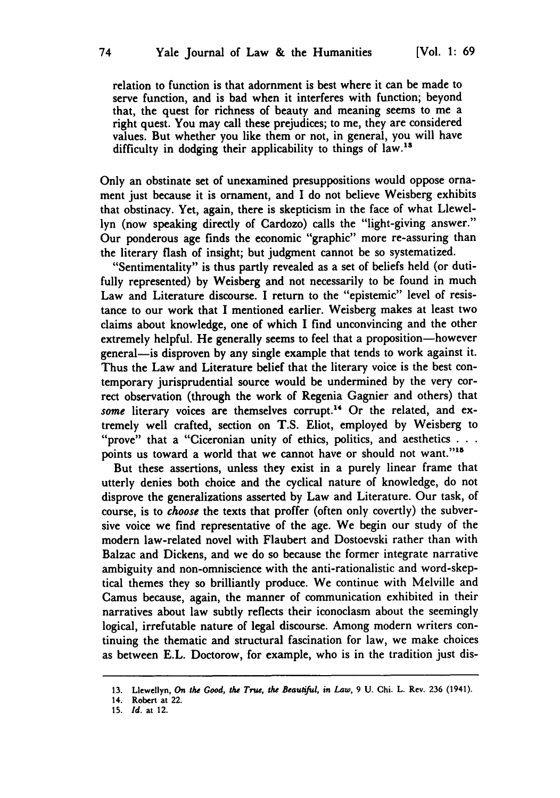relation to function is that adornment is best where it can be made to serve function, and is bad when it interferes with function; beyond that, the quest for richness of beauty and meaning seems to me a right quest. You may call these prejudices; to me, they are considered values. But whether you like them or not, in general, you will have difficulty in dodging their applicability to things of law.<sup>13</sup>

Only an obstinate set of unexamined presuppositions would oppose ornament just because it is ornament, and I do not believe Weisberg exhibits that obstinacy. Yet, again, there is skepticism in the face of what Llewellyn (now speaking directly of Cardozo) calls the "light-giving answer." Our ponderous age finds the economic "graphic" more re-assuring than the literary flash of insight; but judgment cannot be so systematized.

"Sentimentality" is thus partly revealed as a set of beliefs held (or dutifully represented) **by** Weisberg and not necessarily to be found in much Law and Literature discourse. I return to the "epistemic" level of resistance to our work that I mentioned earlier. Weisberg makes at least two claims about knowledge, one of which I find unconvincing and the other extremely helpful. He generally seems to feel that a proposition-however general-is disproven **by** any single example that tends to work against it. Thus the Law and Literature belief that the literary voice is the best contemporary jurisprudential source would be undermined **by** the very correct observation (through the work of Regenia Gagnier and others) that some literary voices are themselves corrupt.<sup>14</sup> Or the related, and extremely well crafted, section on T.S. Eliot, employed **by** Weisberg to "prove" that a "Ciceronian unity of ethics, politics, and aesthetics **. ..** points us toward a world that we cannot have or should not want."15

But these assertions, unless they exist in a purely linear frame that utterly denies both choice and the cyclical nature of knowledge, do not disprove the generalizations asserted **by** Law and Literature. Our task, of course, is to *choose* the texts that proffer (often only covertly) the subversive voice we find representative of the age. We begin our study of the modern law-related novel with Flaubert and Dostoevski rather than with Balzac and Dickens, and we do so because the former integrate narrative ambiguity and non-omniscience with the anti-rationalistic and word-skeptical themes they so brilliantly produce. We continue with Melville and Camus because, again, the manner of communication exhibited in their narratives about law subtly reflects their iconoclasm about the seemingly logical, irrefutable nature of legal discourse. Among modern writers continuing the thematic and structural fascination for law, we make choices as between **E.L.** Doctorow, for example, who is in the tradition just dis-

**<sup>13.</sup>** Llewellyn, *On the Good, the True, the Beautiful,* **in** *Law,* **9 U.** Chi. L. Rev. **236** (1941).

<sup>14.</sup> Robert at 22. **15.** *Id.* at 12.

<sup>74</sup>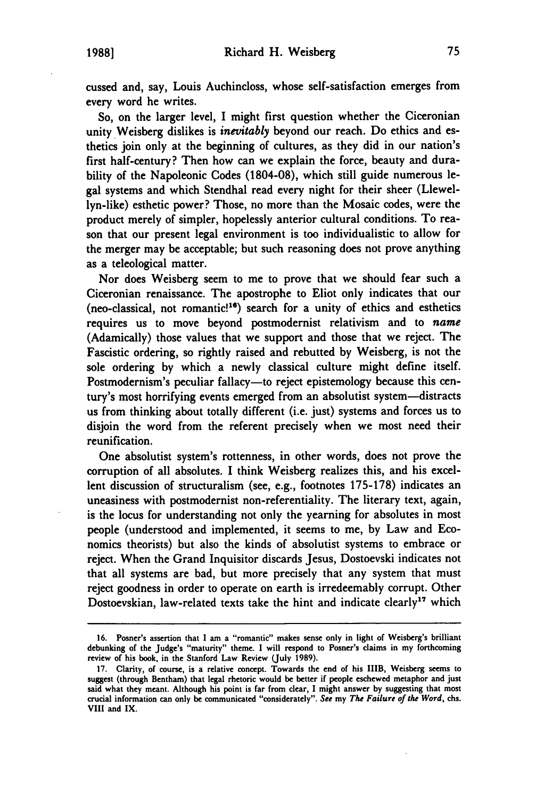cussed and, say, Louis Auchincloss, whose self-satisfaction emerges from every word he writes.

So, on the larger level, I might first question whether the Ciceronian unity Weisberg dislikes is *inevitably* beyond our reach. Do ethics and esthetics join only at the beginning of cultures, as they did in our nation's first half-century? Then how can we explain the force, beauty and durability of the Napoleonic Codes **(1804-08),** which still guide numerous legal systems and which Stendhal read every night for their sheer (Llewellyn-like) esthetic power? Those, no more than the Mosaic codes, were the product merely of simpler, hopelessly anterior cultural conditions. To reason that our present legal environment is too individualistic to allow for the merger may be acceptable; but such reasoning does not prove anything as a teleological matter.

Nor does Weisberg seem to me to prove that we should fear such a Ciceronian renaissance. The apostrophe to Eliot only indicates that our (neo-classical, not romantic!<sup>16</sup>) search for a unity of ethics and esthetics requires us to move beyond postmodernist relativism and to *name* (Adamically) those values that we support and those that we reject. The Fascistic ordering, so rightly raised and rebutted **by** Weisberg, is not the sole ordering **by** which a newly classical culture might define itself. Postmodernism's peculiar fallacy-to reject epistemology because this century's most horrifying events emerged from an absolutist system-distracts us from thinking about totally different (i.e. just) systems and forces us to disjoin the word from the referent precisely when we most need their reunification.

One absolutist system's rottenness, in other words, does not prove the corruption of all absolutes. I think Weisberg realizes this, and his excellent discussion of structuralism (see, e.g., footnotes **175-178)** indicates an uneasiness with postmodernist non-referentiality. The literary text, again, is the locus for understanding not only the yearning for absolutes in most people (understood and implemented, it seems to me, **by** Law and Economics theorists) but also the kinds of absolutist systems to embrace or reject. When the Grand Inquisitor discards Jesus, Dostoevski indicates not that all systems are bad, but more precisely that any system that must reject goodness in order to operate on earth is irredeemably corrupt. Other Dostoevskian, law-related texts take the hint and indicate clearly<sup>17</sup> which

**<sup>16.</sup>** Posner's assertion that **I** am a "romantic" makes sense only in light of Weisberg's brilliant debunking of the Judge's "maturity" theme. **I** will respond to Posner's claims in my forthcoming review of his book, in the Stanford Law Review **(July 1989).**

**<sup>17.</sup>** Clarity, of course, is a relative concept. Towards the end of his **IIIB,** Weisberg seems to suggest (through Bentham) that legal rhetoric would **be** better if people eschewed metaphor and just said what they meant. Although his point is far from clear, **I** might answer **by** suggesting that most crucial information can only be communicated "considerately". *See* my *The Failure of the Word,* chs. VIII and IX.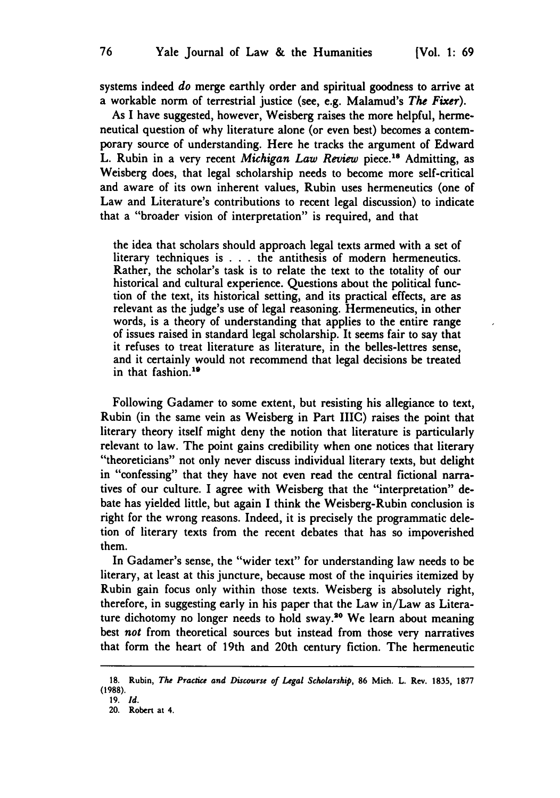systems indeed *do* merge earthly order and spiritual goodness to arrive at a workable norm of terrestrial justice (see, e.g. Malamud's *The Fixer).*

As I have suggested, however, Weisberg raises the more helpful, hermeneutical question of why literature alone (or even best) becomes a contemporary source of understanding. Here he tracks the argument of Edward L. Rubin in a very recent *Michigan Law Review* piece.18 Admitting, as Weisberg does, that legal scholarship needs to become more self-critical and aware of its own inherent values, Rubin uses hermeneutics (one of Law and Literature's contributions to recent legal discussion) to indicate that a "broader vision of interpretation" is required, and that

the idea that scholars should approach legal texts armed with a set of literary techniques is . . . the antithesis of modern hermeneutics. Rather, the scholar's task is to relate the text to the totality of our historical and cultural experience. Questions about the political function of the text, its historical setting, and its practical effects, are as relevant as the judge's use of legal reasoning. Hermeneutics, in other words, is a theory of understanding that applies to the entire range of issues raised in standard legal scholarship. It seems fair to say that it refuses to treat literature as literature, in the belles-lettres sense, and it certainly would not recommend that legal decisions be treated in that fashion.<sup>19</sup>

Following Gadamer to some extent, but resisting his allegiance to text, Rubin (in the same vein as Weisberg in Part IIIC) raises the point that literary theory itself might deny the notion that literature is particularly relevant to law. The point gains credibility when one notices that literary "theoreticians" not only never discuss individual literary texts, but delight in "confessing" that they have not even read the central fictional narratives of our culture. I agree with Weisberg that the "interpretation" debate has yielded little, but again I think the Weisberg-Rubin conclusion is right for the wrong reasons. Indeed, it is precisely the programmatic deletion of literary texts from the recent debates that has so impoverished them.

In Gadamer's sense, the "wider text" for understanding law needs to be literary, at least at this juncture, because most of the inquiries itemized **by** Rubin gain focus only within those texts. Weisberg is absolutely right, therefore, in suggesting early in his paper that the Law in/Law as Literature dichotomy no longer needs to hold sway.<sup>20</sup> We learn about meaning best *not* from theoretical sources but instead from those very narratives that form the heart of 19th and 20th century fiction. The hermeneutic

**<sup>18.</sup>** Rubin, *The Practice and Discourse of Legal Scholarship,* **86** Mich. L. Rev. **1835, 1877 (1988).**

<sup>19.</sup> *Id.*

<sup>20.</sup> Robert at 4.